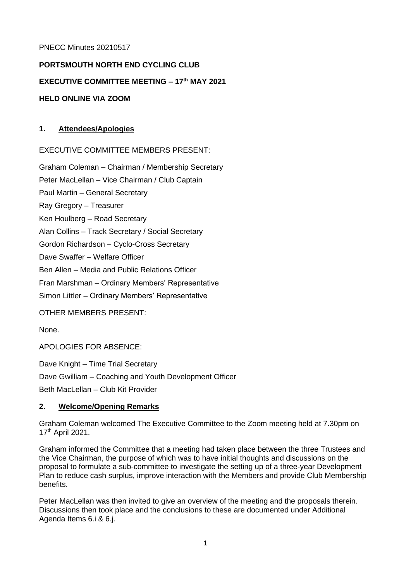## PNECC Minutes 20210517

# **PORTSMOUTH NORTH END CYCLING CLUB**

# **EXECUTIVE COMMITTEE MEETING – 17 th MAY 2021**

## **HELD ONLINE VIA ZOOM**

## **1. Attendees/Apologies**

## EXECUTIVE COMMITTEE MEMBERS PRESENT:

Graham Coleman – Chairman / Membership Secretary Peter MacLellan – Vice Chairman / Club Captain Paul Martin – General Secretary Ray Gregory – Treasurer Ken Houlberg – Road Secretary Alan Collins – Track Secretary / Social Secretary Gordon Richardson – Cyclo-Cross Secretary Dave Swaffer – Welfare Officer Ben Allen – Media and Public Relations Officer Fran Marshman – Ordinary Members' Representative Simon Littler – Ordinary Members' Representative

### OTHER MEMBERS PRESENT:

None.

APOLOGIES FOR ABSENCE:

Dave Knight – Time Trial Secretary

Dave Gwilliam – Coaching and Youth Development Officer

Beth MacLellan – Club Kit Provider

### **2. Welcome/Opening Remarks**

Graham Coleman welcomed The Executive Committee to the Zoom meeting held at 7.30pm on 17 th April 2021.

Graham informed the Committee that a meeting had taken place between the three Trustees and the Vice Chairman, the purpose of which was to have initial thoughts and discussions on the proposal to formulate a sub-committee to investigate the setting up of a three-year Development Plan to reduce cash surplus, improve interaction with the Members and provide Club Membership benefits.

Peter MacLellan was then invited to give an overview of the meeting and the proposals therein. Discussions then took place and the conclusions to these are documented under Additional Agenda Items 6.i & 6.j.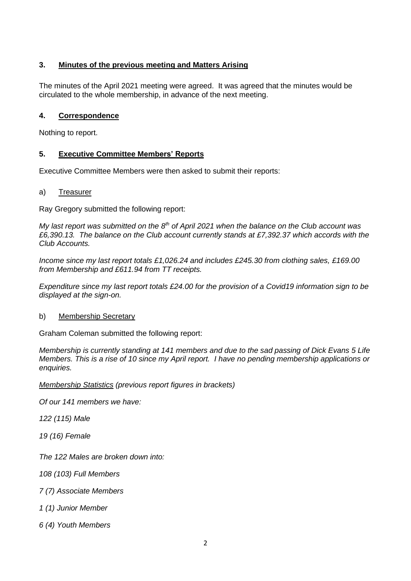# **3. Minutes of the previous meeting and Matters Arising**

The minutes of the April 2021 meeting were agreed. It was agreed that the minutes would be circulated to the whole membership, in advance of the next meeting.

## **4. Correspondence**

Nothing to report.

## **5. Executive Committee Members' Reports**

Executive Committee Members were then asked to submit their reports:

a) Treasurer

Ray Gregory submitted the following report:

*My last report was submitted on the 8th of April 2021 when the balance on the Club account was £6,390.13. The balance on the Club account currently stands at £7,392.37 which accords with the Club Accounts.* 

*Income since my last report totals £1,026.24 and includes £245.30 from clothing sales, £169.00 from Membership and £611.94 from TT receipts.*

*Expenditure since my last report totals £24.00 for the provision of a Covid19 information sign to be displayed at the sign-on.*

### b) Membership Secretary

Graham Coleman submitted the following report:

*Membership is currently standing at 141 members and due to the sad passing of Dick Evans 5 Life Members. This is a rise of 10 since my April report. I have no pending membership applications or enquiries.*

*Membership Statistics (previous report figures in brackets)*

*Of our 141 members we have:*

*122 (115) Male*

*19 (16) Female*

*The 122 Males are broken down into:*

*108 (103) Full Members*

*7 (7) Associate Members*

*1 (1) Junior Member*

*6 (4) Youth Members*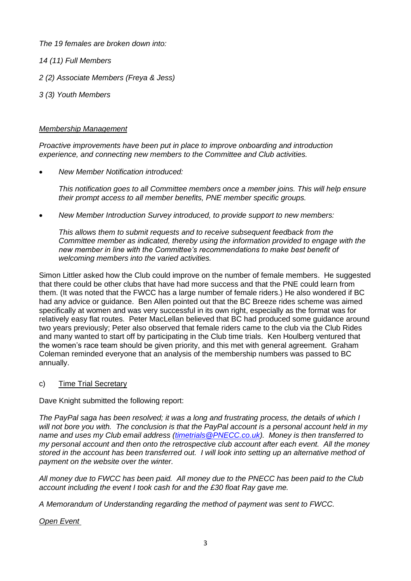*The 19 females are broken down into:*

- *14 (11) Full Members*
- *2 (2) Associate Members (Freya & Jess)*
- *3 (3) Youth Members*

### *Membership Management*

*Proactive improvements have been put in place to improve onboarding and introduction experience, and connecting new members to the Committee and Club activities.*

• *New Member Notification introduced:*

*This notification goes to all Committee members once a member joins. This will help ensure their prompt access to all member benefits, PNE member specific groups.*

• *New Member Introduction Survey introduced, to provide support to new members:*

*This allows them to submit requests and to receive subsequent feedback from the Committee member as indicated, thereby using the information provided to engage with the new member in line with the Committee's recommendations to make best benefit of welcoming members into the varied activities.*

Simon Littler asked how the Club could improve on the number of female members. He suggested that there could be other clubs that have had more success and that the PNE could learn from them. (It was noted that the FWCC has a large number of female riders.) He also wondered if BC had any advice or guidance. Ben Allen pointed out that the BC Breeze rides scheme was aimed specifically at women and was very successful in its own right, especially as the format was for relatively easy flat routes. Peter MacLellan believed that BC had produced some guidance around two years previously; Peter also observed that female riders came to the club via the Club Rides and many wanted to start off by participating in the Club time trials. Ken Houlberg ventured that the women's race team should be given priority, and this met with general agreement. Graham Coleman reminded everyone that an analysis of the membership numbers was passed to BC annually.

# c) Time Trial Secretary

Dave Knight submitted the following report:

*The PayPal saga has been resolved; it was a long and frustrating process, the details of which I will not bore you with. The conclusion is that the PayPal account is a personal account held in my name and uses my Club email address [\(timetrials@PNECC.co.uk\)](mailto:timetrials@PNECC.co.uk). Money is then transferred to my personal account and then onto the retrospective club account after each event. All the money stored in the account has been transferred out. I will look into setting up an alternative method of payment on the website over the winter.*

*All money due to FWCC has been paid. All money due to the PNECC has been paid to the Club account including the event I took cash for and the £30 float Ray gave me.*

*A Memorandum of Understanding regarding the method of payment was sent to FWCC.*

# *Open Event*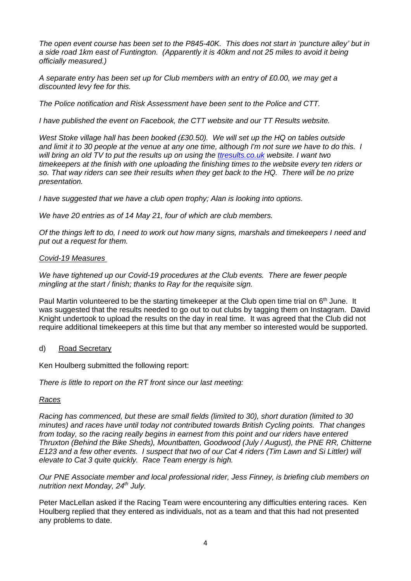*The open event course has been set to the P845-40K. This does not start in 'puncture alley' but in a side road 1km east of Funtington. (Apparently it is 40km and not 25 miles to avoid it being officially measured.)*

*A separate entry has been set up for Club members with an entry of £0.00, we may get a discounted levy fee for this.*

*The Police notification and Risk Assessment have been sent to the Police and CTT.*

*I have published the event on Facebook, the CTT website and our TT Results website.*

*West Stoke village hall has been booked (£30.50). We will set up the HQ on tables outside and limit it to 30 people at the venue at any one time, although I'm not sure we have to do this. I will bring an old TV to put the results up on using the [ttresults.co.uk](http://ttresults.co.uk/) website. I want two timekeepers at the finish with one uploading the finishing times to the website every ten riders or so. That way riders can see their results when they get back to the HQ. There will be no prize presentation.*

*I have suggested that we have a club open trophy; Alan is looking into options.*

*We have 20 entries as of 14 May 21, four of which are club members.*

*Of the things left to do, I need to work out how many signs, marshals and timekeepers I need and put out a request for them.*

## *Covid-19 Measures*

*We have tightened up our Covid-19 procedures at the Club events. There are fewer people mingling at the start / finish; thanks to Ray for the requisite sign.*

Paul Martin volunteered to be the starting timekeeper at the Club open time trial on 6<sup>th</sup> June. It was suggested that the results needed to go out to out clubs by tagging them on Instagram. David Knight undertook to upload the results on the day in real time. It was agreed that the Club did not require additional timekeepers at this time but that any member so interested would be supported.

### d) Road Secretary

Ken Houlberg submitted the following report:

*There is little to report on the RT front since our last meeting:*

### *Races*

*Racing has commenced, but these are small fields (limited to 30), short duration (limited to 30 minutes) and races have until today not contributed towards British Cycling points. That changes from today, so the racing really begins in earnest from this point and our riders have entered Thruxton (Behind the Bike Sheds), Mountbatten, Goodwood (July / August), the PNE RR, Chitterne E123 and a few other events. I suspect that two of our Cat 4 riders (Tim Lawn and Si Littler) will elevate to Cat 3 quite quickly. Race Team energy is high.*

*Our PNE Associate member and local professional rider, Jess Finney, is briefing club members on nutrition next Monday, 24th July.*

Peter MacLellan asked if the Racing Team were encountering any difficulties entering races. Ken Houlberg replied that they entered as individuals, not as a team and that this had not presented any problems to date.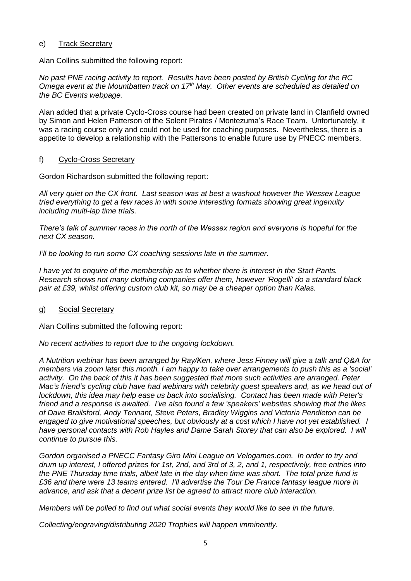#### e) Track Secretary

Alan Collins submitted the following report:

*No past PNE racing activity to report. Results have been posted by British Cycling for the RC Omega event at the Mountbatten track on 17th May. Other events are scheduled as detailed on the BC Events webpage.*

Alan added that a private Cyclo-Cross course had been created on private land in Clanfield owned by Simon and Helen Patterson of the Solent Pirates / Montezuma's Race Team. Unfortunately, it was a racing course only and could not be used for coaching purposes. Nevertheless, there is a appetite to develop a relationship with the Pattersons to enable future use by PNECC members.

#### f) Cyclo-Cross Secretary

Gordon Richardson submitted the following report:

*All very quiet on the CX front. Last season was at best a washout however the Wessex League tried everything to get a few races in with some interesting formats showing great ingenuity including multi-lap time trials.*

*There's talk of summer races in the north of the Wessex region and everyone is hopeful for the next CX season.*

*I'll be looking to run some CX coaching sessions late in the summer.*

*I have yet to enquire of the membership as to whether there is interest in the Start Pants. Research shows not many clothing companies offer them, however 'Rogelli' do a standard black pair at £39, whilst offering custom club kit, so may be a cheaper option than Kalas.*

#### g) Social Secretary

Alan Collins submitted the following report:

*No recent activities to report due to the ongoing lockdown.*

*A Nutrition webinar has been arranged by Ray/Ken, where Jess Finney will give a talk and Q&A for members via zoom later this month. I am happy to take over arrangements to push this as a 'social' activity. On the back of this it has been suggested that more such activities are arranged. Peter Mac's friend's cycling club have had webinars with celebrity guest speakers and, as we head out of lockdown, this idea may help ease us back into socialising. Contact has been made with Peter's friend and a response is awaited. I've also found a few 'speakers' websites showing that the likes of Dave Brailsford, Andy Tennant, Steve Peters, Bradley Wiggins and Victoria Pendleton can be engaged to give motivational speeches, but obviously at a cost which I have not yet established. I have personal contacts with Rob Hayles and Dame Sarah Storey that can also be explored. I will continue to pursue this.*

*Gordon organised a PNECC Fantasy Giro Mini League on Velogames.com. In order to try and drum up interest, I offered prizes for 1st, 2nd, and 3rd of 3, 2, and 1, respectively, free entries into the PNE Thursday time trials, albeit late in the day when time was short. The total prize fund is £36 and there were 13 teams entered. I'll advertise the Tour De France fantasy league more in advance, and ask that a decent prize list be agreed to attract more club interaction.*

*Members will be polled to find out what social events they would like to see in the future.*

*Collecting/engraving/distributing 2020 Trophies will happen imminently.*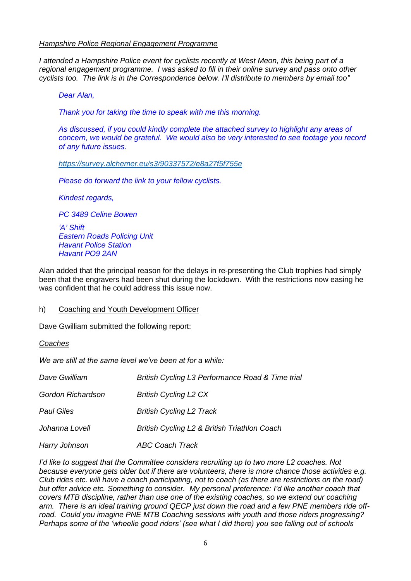#### *Hampshire Police Regional Engagement Programme*

*I attended a Hampshire Police event for cyclists recently at West Meon, this being part of a regional engagement programme. I was asked to fill in their online survey and pass onto other cyclists too. The link is in the Correspondence below. I'll distribute to members by email too"*

*Dear Alan,*

*Thank you for taking the time to speak with me this morning.*

*As discussed, if you could kindly complete the attached survey to highlight any areas of concern, we would be grateful. We would also be very interested to see footage you record of any future issues.*

*<https://survey.alchemer.eu/s3/90337572/e8a27f5f755e>*

*Please do forward the link to your fellow cyclists.*

*Kindest regards,*

*PC 3489 Celine Bowen*

*'A' Shift Eastern Roads Policing Unit Havant Police Station Havant PO9 2AN*

Alan added that the principal reason for the delays in re-presenting the Club trophies had simply been that the engravers had been shut during the lockdown. With the restrictions now easing he was confident that he could address this issue now.

#### h) Coaching and Youth Development Officer

Dave Gwilliam submitted the following report:

*Coaches*

*We are still at the same level we've been at for a while:*

| Dave Gwilliam     | British Cycling L3 Performance Road & Time trial |  |
|-------------------|--------------------------------------------------|--|
| Gordon Richardson | <b>British Cycling L2 CX</b>                     |  |
| <b>Paul Giles</b> | <b>British Cycling L2 Track</b>                  |  |
| Johanna Lovell    | British Cycling L2 & British Triathlon Coach     |  |
| Harry Johnson     | <b>ABC Coach Track</b>                           |  |

*I'd like to suggest that the Committee considers recruiting up to two more L2 coaches. Not because everyone gets older but if there are volunteers, there is more chance those activities e.g. Club rides etc. will have a coach participating, not to coach (as there are restrictions on the road) but offer advice etc. Something to consider. My personal preference: I'd like another coach that covers MTB discipline, rather than use one of the existing coaches, so we extend our coaching arm. There is an ideal training ground QECP just down the road and a few PNE members ride offroad. Could you imagine PNE MTB Coaching sessions with youth and those riders progressing? Perhaps some of the 'wheelie good riders' (see what I did there) you see falling out of schools*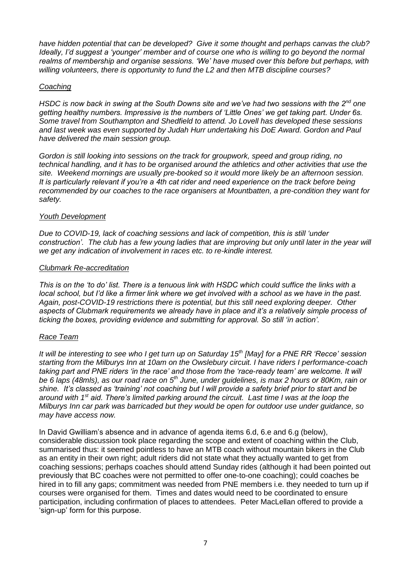*have hidden potential that can be developed? Give it some thought and perhaps canvas the club? Ideally, I'd suggest a 'younger' member and of course one who is willing to go beyond the normal realms of membership and organise sessions. 'We' have mused over this before but perhaps, with willing volunteers, there is opportunity to fund the L2 and then MTB discipline courses?*

## *Coaching*

*HSDC is now back in swing at the South Downs site and we've had two sessions with the 2nd one getting healthy numbers. Impressive is the numbers of 'Little Ones' we get taking part. Under 6s. Some travel from Southampton and Shedfield to attend. Jo Lovell has developed these sessions and last week was even supported by Judah Hurr undertaking his DoE Award. Gordon and Paul have delivered the main session group.*

*Gordon is still looking into sessions on the track for groupwork, speed and group riding, no technical handling, and it has to be organised around the athletics and other activities that use the site. Weekend mornings are usually pre-booked so it would more likely be an afternoon session. It is particularly relevant if you're a 4th cat rider and need experience on the track before being recommended by our coaches to the race organisers at Mountbatten, a pre-condition they want for safety.*

### *Youth Development*

*Due to COVID-19, lack of coaching sessions and lack of competition, this is still 'under construction'.* The club has a few young ladies that are improving but only until later in the year will *we get any indication of involvement in races etc. to re-kindle interest.*

### *Clubmark Re-accreditation*

*This is on the 'to do' list. There is a tenuous link with HSDC which could suffice the links with a local school, but I'd like a firmer link where we get involved with a school as we have in the past. Again, post-COVID-19 restrictions there is potential, but this still need exploring deeper. Other aspects of Clubmark requirements we already have in place and it's a relatively simple process of ticking the boxes, providing evidence and submitting for approval. So still 'in action'.*

### *Race Team*

*It will be interesting to see who I get turn up on Saturday 15th [May] for a PNE RR 'Recce' session starting from the Milburys Inn at 10am on the Owslebury circuit. I have riders I performance-coach taking part and PNE riders 'in the race' and those from the 'race-ready team' are welcome. It will be 6 laps (48mls), as our road race on 5th June, under guidelines, is max 2 hours or 80Km, rain or shine. It's classed as 'training' not coaching but I will provide a safety brief prior to start and be around with 1st aid. There's limited parking around the circuit. Last time I was at the loop the Milburys Inn car park was barricaded but they would be open for outdoor use under guidance, so may have access now.*

In David Gwilliam's absence and in advance of agenda items 6.d, 6.e and 6.g (below), considerable discussion took place regarding the scope and extent of coaching within the Club, summarised thus: it seemed pointless to have an MTB coach without mountain bikers in the Club as an entity in their own right; adult riders did not state what they actually wanted to get from coaching sessions; perhaps coaches should attend Sunday rides (although it had been pointed out previously that BC coaches were not permitted to offer one-to-one coaching); could coaches be hired in to fill any gaps; commitment was needed from PNE members i.e. they needed to turn up if courses were organised for them. Times and dates would need to be coordinated to ensure participation, including confirmation of places to attendees. Peter MacLellan offered to provide a 'sign-up' form for this purpose.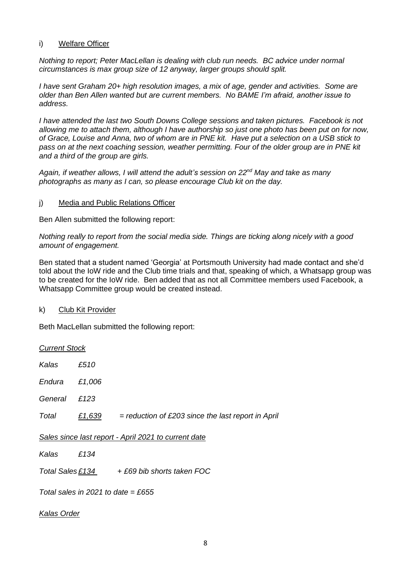#### i) Welfare Officer

*Nothing to report; Peter MacLellan is dealing with club run needs. BC advice under normal circumstances is max group size of 12 anyway, larger groups should split.*

*I have sent Graham 20+ high resolution images, a mix of age, gender and activities. Some are older than Ben Allen wanted but are current members. No BAME I'm afraid, another issue to address.*

*I have attended the last two South Downs College sessions and taken pictures. Facebook is not allowing me to attach them, although I have authorship so just one photo has been put on for now, of Grace, Louise and Anna, two of whom are in PNE kit. Have put a selection on a USB stick to pass on at the next coaching session, weather permitting. Four of the older group are in PNE kit and a third of the group are girls.*

*Again, if weather allows, I will attend the adult's session on 22nd May and take as many photographs as many as I can, so please encourage Club kit on the day.*

#### j) Media and Public Relations Officer

Ben Allen submitted the following report:

*Nothing really to report from the social media side. Things are ticking along nicely with a good amount of engagement.*

Ben stated that a student named 'Georgia' at Portsmouth University had made contact and she'd told about the IoW ride and the Club time trials and that, speaking of which, a Whatsapp group was to be created for the IoW ride. Ben added that as not all Committee members used Facebook, a Whatsapp Committee group would be created instead.

k) Club Kit Provider

Beth MacLellan submitted the following report:

| <b>Current Stock</b>                                 |        |                                                      |  |  |
|------------------------------------------------------|--------|------------------------------------------------------|--|--|
| Kalas                                                | £510   |                                                      |  |  |
| Endura                                               | £1,006 |                                                      |  |  |
| General                                              | £123   |                                                      |  |  |
| Total                                                | £1,639 | $=$ reduction of £203 since the last report in April |  |  |
| Sales since last report - April 2021 to current date |        |                                                      |  |  |
| Kalas                                                | £134   |                                                      |  |  |
|                                                      |        | Total Sales £134 $+$ £69 bib shorts taken FOC        |  |  |
| Total sales in 2021 to date = £655                   |        |                                                      |  |  |

*Kalas Order*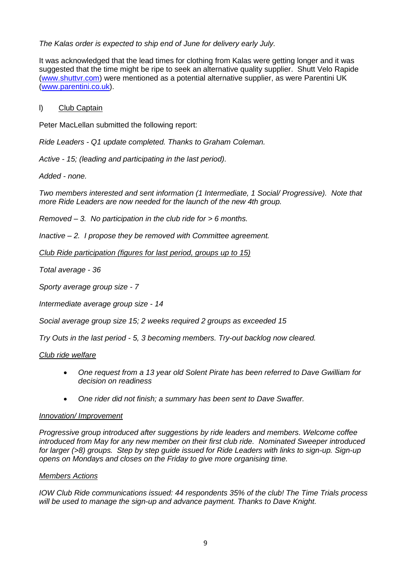## *The Kalas order is expected to ship end of June for delivery early July.*

It was acknowledged that the lead times for clothing from Kalas were getting longer and it was suggested that the time might be ripe to seek an alternative quality supplier. Shutt Velo Rapide [\(www.shuttvr.com\)](http://www.shuttvr.com/) were mentioned as a potential alternative supplier, as were Parentini UK [\(www.parentini.co.uk\)](http://www.parentini.co.uk/).

#### l) Club Captain

Peter MacLellan submitted the following report:

*Ride Leaders - Q1 update completed. Thanks to Graham Coleman.*

*Active - 15; (leading and participating in the last period).*

*Added - none.*

*Two members interested and sent information (1 Intermediate, 1 Social/ Progressive). Note that more Ride Leaders are now needed for the launch of the new 4th group.*

*Removed – 3. No participation in the club ride for > 6 months.*

*Inactive – 2. I propose they be removed with Committee agreement.*

*Club Ride participation (figures for last period, groups up to 15)*

*Total average - 36*

*Sporty average group size - 7*

*Intermediate average group size - 14*

*Social average group size 15; 2 weeks required 2 groups as exceeded 15*

*Try Outs in the last period - 5, 3 becoming members. Try-out backlog now cleared.*

#### *Club ride welfare*

- *One request from a 13 year old Solent Pirate has been referred to Dave Gwilliam for decision on readiness*
- *One rider did not finish; a summary has been sent to Dave Swaffer.*

#### *Innovation/ Improvement*

*Progressive group introduced after suggestions by ride leaders and members. Welcome coffee introduced from May for any new member on their first club ride. Nominated Sweeper introduced for larger (>8) groups. Step by step guide issued for Ride Leaders with links to sign-up. Sign-up opens on Mondays and closes on the Friday to give more organising time.*

#### *Members Actions*

*IOW Club Ride communications issued: 44 respondents 35% of the club! The Time Trials process will be used to manage the sign-up and advance payment. Thanks to Dave Knight.*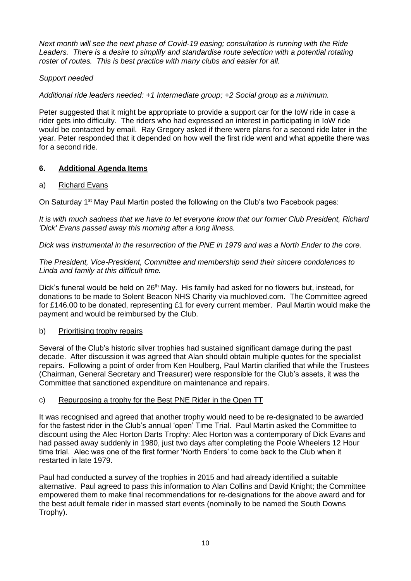*Next month will see the next phase of Covid-19 easing; consultation is running with the Ride Leaders. There is a desire to simplify and standardise route selection with a potential rotating roster of routes. This is best practice with many clubs and easier for all.*

# *Support needed*

*Additional ride leaders needed: +1 Intermediate group; +2 Social group as a minimum.*

Peter suggested that it might be appropriate to provide a support car for the IoW ride in case a rider gets into difficulty. The riders who had expressed an interest in participating in IoW ride would be contacted by email. Ray Gregory asked if there were plans for a second ride later in the year. Peter responded that it depended on how well the first ride went and what appetite there was for a second ride.

# **6. Additional Agenda Items**

# a) Richard Evans

On Saturday 1<sup>st</sup> May Paul Martin posted the following on the Club's two Facebook pages:

*It is with much sadness that we have to let everyone know that our former Club President, Richard 'Dick' Evans passed away this morning after a long illness.*

*Dick was instrumental in the resurrection of the PNE in 1979 and was a North Ender to the core.*

### *The President, Vice-President, Committee and membership send their sincere condolences to Linda and family at this difficult time.*

Dick's funeral would be held on 26<sup>th</sup> May. His family had asked for no flowers but, instead, for donations to be made to Solent Beacon NHS Charity via muchloved.com. The Committee agreed for £146.00 to be donated, representing £1 for every current member. Paul Martin would make the payment and would be reimbursed by the Club.

### b) Prioritising trophy repairs

Several of the Club's historic silver trophies had sustained significant damage during the past decade. After discussion it was agreed that Alan should obtain multiple quotes for the specialist repairs. Following a point of order from Ken Houlberg, Paul Martin clarified that while the Trustees (Chairman, General Secretary and Treasurer) were responsible for the Club's assets, it was the Committee that sanctioned expenditure on maintenance and repairs.

### c) Repurposing a trophy for the Best PNE Rider in the Open TT

It was recognised and agreed that another trophy would need to be re-designated to be awarded for the fastest rider in the Club's annual 'open' Time Trial. Paul Martin asked the Committee to discount using the Alec Horton Darts Trophy: Alec Horton was a contemporary of Dick Evans and had passed away suddenly in 1980, just two days after completing the Poole Wheelers 12 Hour time trial. Alec was one of the first former 'North Enders' to come back to the Club when it restarted in late 1979.

Paul had conducted a survey of the trophies in 2015 and had already identified a suitable alternative. Paul agreed to pass this information to Alan Collins and David Knight; the Committee empowered them to make final recommendations for re-designations for the above award and for the best adult female rider in massed start events (nominally to be named the South Downs Trophy).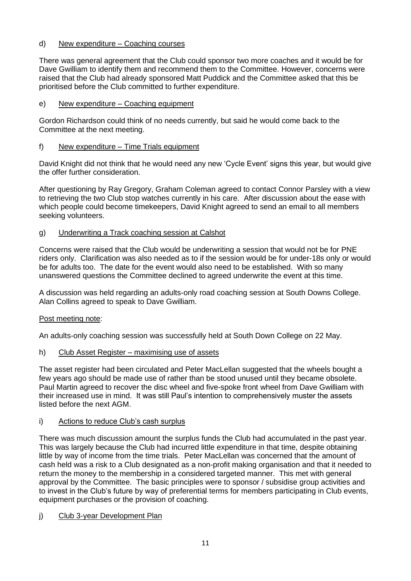### d) New expenditure – Coaching courses

There was general agreement that the Club could sponsor two more coaches and it would be for Dave Gwilliam to identify them and recommend them to the Committee. However, concerns were raised that the Club had already sponsored Matt Puddick and the Committee asked that this be prioritised before the Club committed to further expenditure.

### e) New expenditure – Coaching equipment

Gordon Richardson could think of no needs currently, but said he would come back to the Committee at the next meeting.

## f) New expenditure – Time Trials equipment

David Knight did not think that he would need any new 'Cycle Event' signs this year, but would give the offer further consideration.

After questioning by Ray Gregory, Graham Coleman agreed to contact Connor Parsley with a view to retrieving the two Club stop watches currently in his care. After discussion about the ease with which people could become timekeepers, David Knight agreed to send an email to all members seeking volunteers.

## g) Underwriting a Track coaching session at Calshot

Concerns were raised that the Club would be underwriting a session that would not be for PNE riders only. Clarification was also needed as to if the session would be for under-18s only or would be for adults too. The date for the event would also need to be established. With so many unanswered questions the Committee declined to agreed underwrite the event at this time.

A discussion was held regarding an adults-only road coaching session at South Downs College. Alan Collins agreed to speak to Dave Gwilliam.

# Post meeting note:

An adults-only coaching session was successfully held at South Down College on 22 May.

h) Club Asset Register – maximising use of assets

The asset register had been circulated and Peter MacLellan suggested that the wheels bought a few years ago should be made use of rather than be stood unused until they became obsolete. Paul Martin agreed to recover the disc wheel and five-spoke front wheel from Dave Gwilliam with their increased use in mind. It was still Paul's intention to comprehensively muster the assets listed before the next AGM.

# i) Actions to reduce Club's cash surplus

There was much discussion amount the surplus funds the Club had accumulated in the past year. This was largely because the Club had incurred little expenditure in that time, despite obtaining little by way of income from the time trials. Peter MacLellan was concerned that the amount of cash held was a risk to a Club designated as a non-profit making organisation and that it needed to return the money to the membership in a considered targeted manner. This met with general approval by the Committee. The basic principles were to sponsor / subsidise group activities and to invest in the Club's future by way of preferential terms for members participating in Club events, equipment purchases or the provision of coaching.

### j) Club 3-year Development Plan